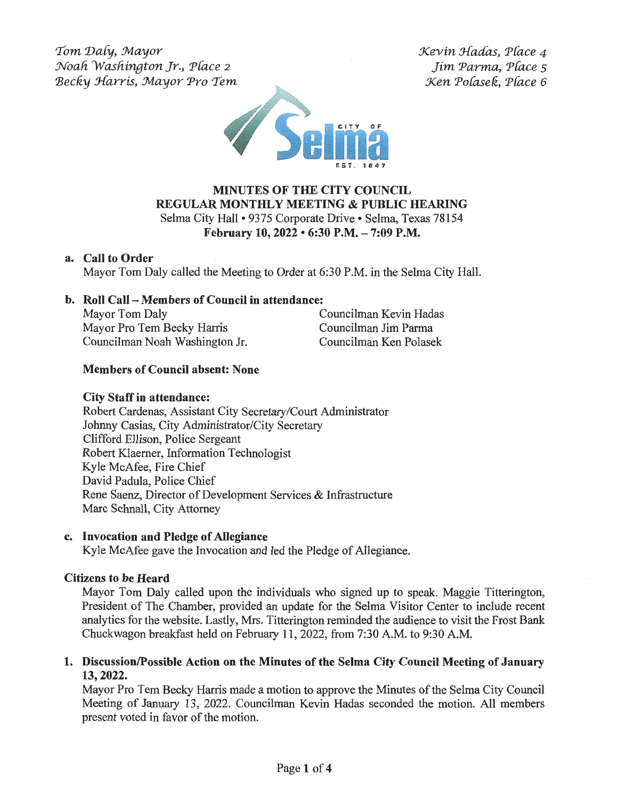*'Tom 'Da{y, :Mayor :Noali Wasliineton Jr., P{ace* <sup>2</sup> Becky Harris, Mayor Pro Tem  $Kevin$  Hadas, Place 4 *Jim Parma, P{ace s Xen Pofuek, P{ace 6* 



# **MINUTES OF THE CITY COUNCIL REGULAR MONTHLY MEETING & PUBLIC HEARING**  Selma City Hall• 9375 Corporate Drive• Selma, Texas 78154 **February 10, 2022 • 6:30 P.M. - 7:09 P.M.**

### **a. Call to Order**

Mayor Tom Daly called the Meeting to Order at 6:30 P.M. in the Selma City Hall.

## **b. Roll Call - Members of Council in attendance:**

| Mayor Tom Daly                 |
|--------------------------------|
| Mayor Pro Tem Becky Harris     |
| Councilman Noah Washington Jr. |

Councilman Kevin Hadas Councilman Jim Parma Councilman Ken Polasek

## **Members of Council absent: None**

### **City Staff in attendance:**

Robert Cardenas, Assistant City Secretary/Court Administrator Johnny Casias, City Administrator/City Secretary Clifford Ellison, Police Sergeant Robert Klaemer, Information Technologist Kyle McAfee, Fire Chief David Padula, Police Chief Rene Saenz, Director of Development Services & Infrastructure Marc Schnall, City Attorney

#### **c. Invocation and Pledge of Allegiance**

Kyle McAfee gave the Invocation and led the Pledge of Allegiance.

#### **Citizens to be Heard**

Mayor Tom Daly called upon the individuals who signed up to speak. Maggie Titterington, President of The Chamber, provided an update for the Selma Visitor Center to include recent analytics for the website. Lastly, Mrs. Titterington reminded the audience to visit the Frost Bank Chuckwagon breakfast held on February 11, 2022, from 7:30 A.M. to 9:30 A.M.

**1. Discussion/Possible Action on the Minutes of the Selma City Council Meeting of January 13, 2022.** 

Mayor Pro Tem Becky Harris made a motion to approve the Minutes of the Selma City Council Meeting of January 13, 2022. Councilman Kevin Hadas seconded the motion. All members present voted in favor of the motion.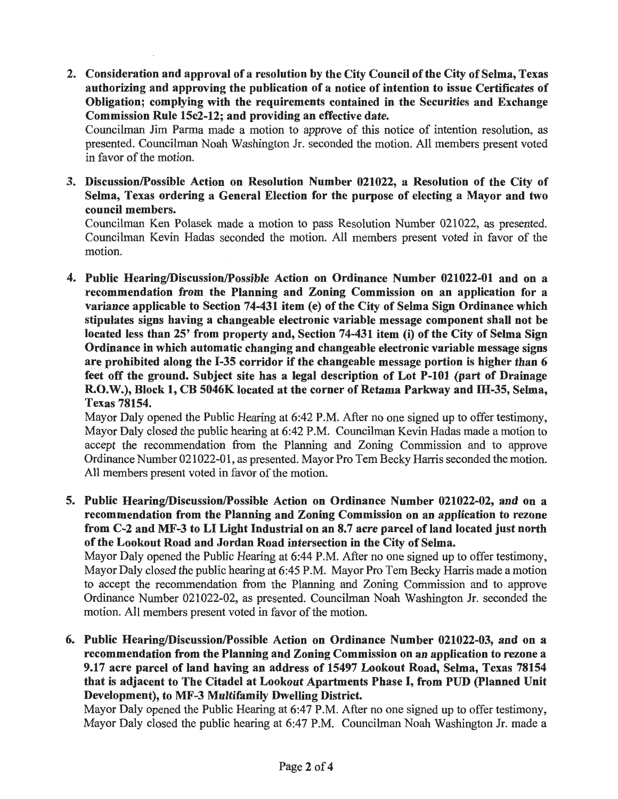**2. Consideration and approval of a resolution by the City Council of the City of Selma, Texas authorizing and approving the publication of a notice of intention to issue Certificates of Obligation; complying with the requirements contained in the Securities and Exchange Commission Rule 15c2-12; and providing an effective date.** 

Councilman Jim Parma made a motion to approve of this notice of intention resolution, as presented. Councilman Noah Washington Jr. seconded the motion. All members present voted in favor of the motion.

**3. Discussion/Possible Action on Resolution Number 021022, a Resolution of the City of Selma, Texas ordering a General Election for the purpose of electing a Mayor and two council members.** 

Councilman Ken Polasek made a motion to pass Resolution Number 021022, as presented. Councilman Kevin Hadas seconded the motion. All members present voted in favor of the motion.

**4. Public Hearing/Discussion/Possible Action on Ordinance Number 021022-01 and on a recommendation from the Planning and Zoning Commission on an application for a variance applicable to Section 74-431 item (e) of the City of Selma Sign Ordinance which stipulates signs having a changeable electronic variable message component shall not be located less than 25' from property and, Section 74-431 item** (i) **of the City of Selma Sign Ordinance in which automatic changing and changeable electronic variable message signs are prohibited along the 1-35 corridor if the changeable message portion is higher than 6 feet off the ground. Subject site has a legal description of Lot P-101 (part of Drainage**  R.O.W.), Block 1, CB 5046K located at the corner of Retama Parkway and IH-35, Selma, **Texas 78154.** 

Mayor Daly opened the Public Hearing at 6:42 P.M. After no one signed up to offer testimony, Mayor Daly closed the public hearing at 6:42 P.M. Councilman Kevin Hadas made a motion to accept the recommendation from the Planning and Zoning Commission and to approve Ordinance Number 021022-01, as presented. Mayor Pro Tern Becky Harris seconded the motion. All members present voted in favor of the motion.

**5. Public Hearing/Discussion/Possible Action on Ordinance Number 021022-02, and on a recommendation from the Planning and Zoning Commission on an application to rezone**  from C-2 and MF-3 to LI Light Industrial on an 8.7 acre parcel of land located just north **of the Lookout Road and Jordan Road intersection in the City of Selma.** 

Mayor Daly opened the Public Hearing at 6:44 P.M. After no one signed up to offer testimony, Mayor Daly closed the public hearing at 6:45 P.M. Mayor Pro Tem Becky Harris made a motion to accept the recommendation from the Planning and Zoning Commission and to approve Ordinance Number 021022-02, as presented. Councilman Noah Washington Jr. seconded the motion. All members present voted in favor of the motion.

**6. Public Hearing/Discussion/Possible Action on Ordinance Number 021022-03, and on a recommendation from the Planning and Zoning Commission on an application to rezone a 9.17 acre parcel of land having an address of 15497 Lookout Road, Selma, Texas 78154 that** is **adjacent to The Citadel at Lookout Apartments Phase** I, **from PUD (Planned Unit Development), to MF-3 Multifamily Dwelling District.** 

Mayor Daly opened the Public Hearing at 6:47 P.M. After no one signed up to offer testimony, Mayor Daly closed the public hearing at 6:47 P.M. Councilman Noah Washington Jr. made a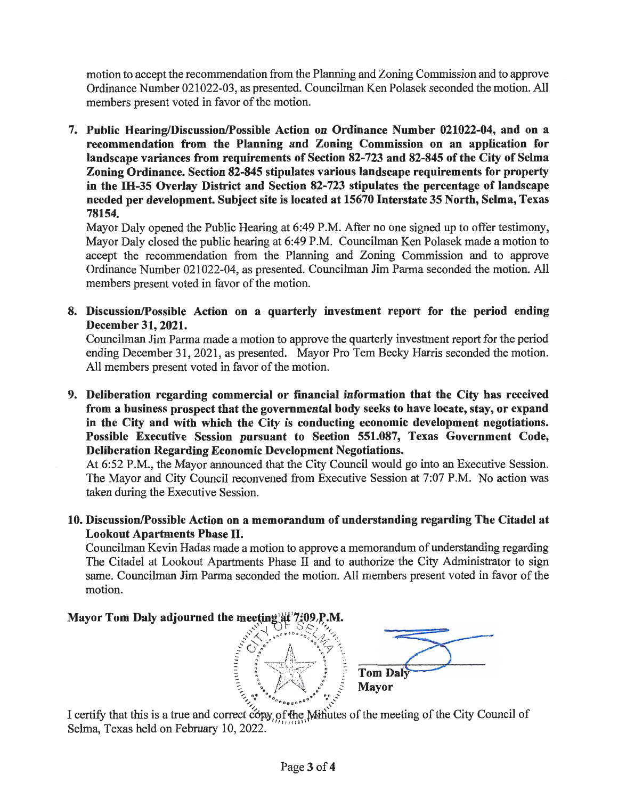motion to accept the recommendation from the Planning and Zoning Commission and to approve Ordinance Number 021022-03, as presented. Councilman Ken Polasek seconded the motion. All members present voted in favor of the motion.

**7. Public Hearing/Discussion/Possible Action on Ordinance Number 021022-04, and on a recommendation from the Planning and Zoning Commission on an application for landscape variances from requirements of Section 82-723 and 82-845 of the City of Selma Zoning Ordinance. Section 82-845 stipulates various landscape requirements for property**  in **the IH-35 Overlay District and Section 82-723 stipulates the percentage of landscape needed per development. Subject site is located at 15670 Interstate 35 North, Selma, Texas 78154.** 

Mayor Daly opened the Public Hearing at 6:49 P.M. After no one signed up to offer testimony, Mayor Daly closed the public hearing at 6:49 P.M. Councilman Ken Polasek made a motion to accept the recommendation from the Planning and Zoning Commission and to approve Ordinance Number 021022-04, as presented. Councilman Jim Parma seconded the motion. All members present voted in favor of the motion.

**8. Discussion/Possible Action on a quarterly investment report for the period ending December 31, 2021.** 

Councilman Jim Parma made a motion to approve the quarterly investment report for the period ending December 31, 2021, as presented. Mayor Pro Tem Becky Harris seconded the motion. All members present voted in favor of the motion.

**9. Deliberation regarding commercial or financial information that the City has received from a business prospect that the governmental body seeks to have locate, stay, or expand in the City and with which the City is conducting economic development negotiations. Possible Executive Session pursuant to Section 551.087, Texas Government Code, Deliberation Regarding Economic Development Negotiations.** 

At 6:52 P.M., the Mayor announced that the City Council would go into an Executive Session. The Mayor and City Council reconvened from Executive Session at 7:07 P.M. No action was taken during the Executive Session.

**10. Discussion/Possible Action on a memorandum of understanding regarding The Citadel at Lookout Apartments Phase** II.

Councilman Kevin Hadas made a motion to approve a memorandum of understanding regarding The Citadel at Lookout Apartments Phase II and to authorize the City Administrator to sign same. Councilman Jim Parma seconded the motion. All members present voted in favor of the motion.

## **Mayor Tom Daly adjourned the meeting at 7:09 P.M.**





I certify that this is a true and correct c6py, of the *Ninutes* of the meeting of the City Council of Selma, Texas held on February 10, 2022.